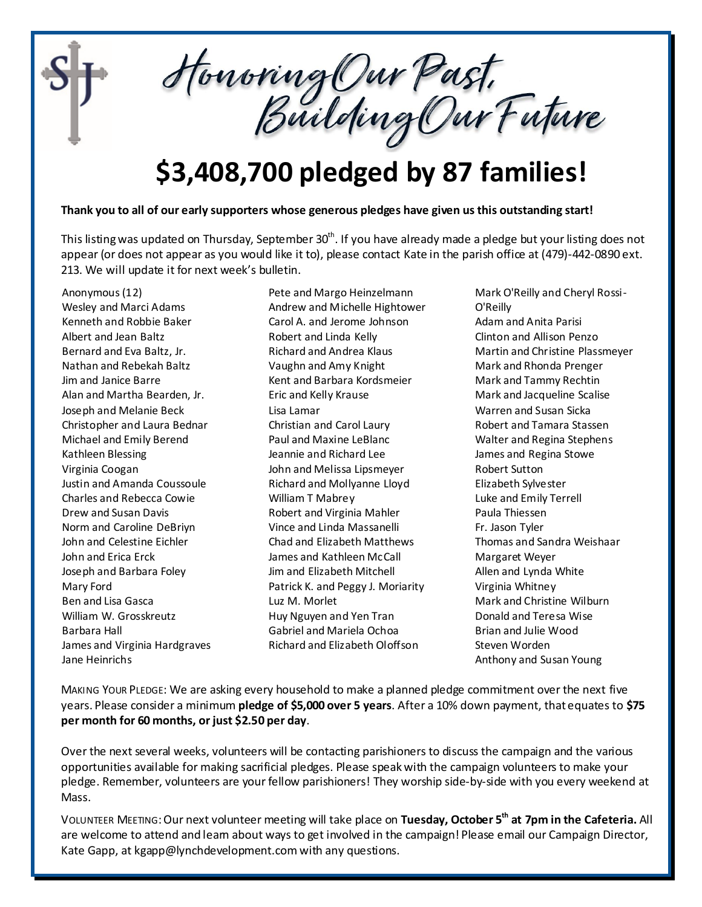

Honoring Our Past.<br>Building Our Future

## **\$3,408,700 pledged by 87 families!**

## **Thank you to all of our early supporters whose generous pledges have given us this outstanding start!**

This listing was updated on Thursday, September 30<sup>th</sup>. If you have already made a pledge but your listing does not appear (or does not appear as you would like it to), please contact Kate in the parish office at (479)-442-0890 ext. 213. We will update it for next week's bulletin.

Anonymous (12) Wesley and Marci Adams Kenneth and Robbie Baker Albert and Jean Baltz Bernard and Eva Baltz, Jr. Nathan and Rebekah Baltz Jim and Janice Barre Alan and Martha Bearden, Jr. Joseph and Melanie Beck Christopher and Laura Bednar Michael and Emily Berend Kathleen Blessing Virginia Coogan Justin and Amanda Coussoule Charles and Rebecca Cowie Drew and Susan Davis Norm and Caroline DeBriyn John and Celestine Eichler John and Erica Erck Joseph and Barbara Foley Mary Ford Ben and Lisa Gasca William W. Grosskreutz Barbara Hall James and Virginia Hardgraves Jane Heinrichs

Pete and Margo Heinzelmann Andrew and Michelle Hightower Carol A. and Jerome Johnson Robert and Linda Kelly Richard and Andrea Klaus Vaughn and Amy Knight Kent and Barbara Kordsmeier Eric and Kelly Krause Lisa Lamar Christian and Carol Laury Paul and Maxine LeBlanc Jeannie and Richard Lee John and Melissa Lipsmeyer Richard and Mollyanne Lloyd William T Mabrey Robert and Virginia Mahler Vince and Linda Massanelli Chad and Elizabeth Matthews James and Kathleen McCall Jim and Elizabeth Mitchell Patrick K. and Peggy J. Moriarity Luz M. Morlet Huy Nguyen and Yen Tran Gabriel and Mariela Ochoa Richard and Elizabeth Oloffson

Mark O'Reilly and Cheryl Rossi-O'Reilly Adam and Anita Parisi Clinton and Allison Penzo Martin and Christine Plassmeyer Mark and Rhonda Prenger Mark and Tammy Rechtin Mark and Jacqueline Scalise Warren and Susan Sicka Robert and Tamara Stassen Walter and Regina Stephens James and Regina Stowe Robert Sutton Elizabeth Sylvester Luke and Emily Terrell Paula Thiessen Fr. Jason Tyler Thomas and Sandra Weishaar Margaret Weyer Allen and Lynda White Virginia Whitney Mark and Christine Wilburn Donald and Teresa Wise Brian and Julie Wood Steven Worden Anthony and Susan Young

MAKING YOUR PLEDGE: We are asking every household to make a planned pledge commitment over the next five years. Please consider a minimum **pledge of \$5,000 over 5 years**. After a 10% down payment, that equates to **\$75 per month for 60 months, or just \$2.50 per day**.

Over the next several weeks, volunteers will be contacting parishioners to discuss the campaign and the various opportunities available for making sacrificial pledges. Please speak with the campaign volunteers to make your pledge. Remember, volunteers are your fellow parishioners! They worship side-by-side with you every weekend at Mass.

VOLUNTEER MEETING:Our next volunteer meeting will take place on **Tuesday, October 5th at 7pm in the Cafeteria.** All are welcome to attend and leam about ways to get involved in the campaign! Please email our Campaign Director, Kate Gapp, at kgapp@lynchdevelopment.com with any questions.